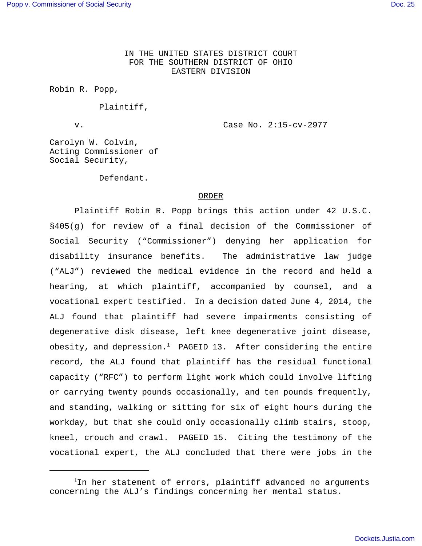IN THE UNITED STATES DISTRICT COURT FOR THE SOUTHERN DISTRICT OF OHIO EASTERN DIVISION

Robin R. Popp,

Plaintiff,

v. Case No. 2:15-cv-2977

Carolyn W. Colvin, Acting Commissioner of Social Security,

Defendant.

#### ORDER

Plaintiff Robin R. Popp brings this action under 42 U.S.C. §405(g) for review of a final decision of the Commissioner of Social Security ("Commissioner") denying her application for disability insurance benefits. The administrative law judge ("ALJ") reviewed the medical evidence in the record and held a hearing, at which plaintiff, accompanied by counsel, and a vocational expert testified. In a decision dated June 4, 2014, the ALJ found that plaintiff had severe impairments consisting of degenerative disk disease, left knee degenerative joint disease, obesity, and depression.<sup>1</sup> PAGEID 13. After considering the entire record, the ALJ found that plaintiff has the residual functional capacity ("RFC") to perform light work which could involve lifting or carrying twenty pounds occasionally, and ten pounds frequently, and standing, walking or sitting for six of eight hours during the workday, but that she could only occasionally climb stairs, stoop, kneel, crouch and crawl. PAGEID 15. Citing the testimony of the vocational expert, the ALJ concluded that there were jobs in the

<sup>1</sup>In her statement of errors, plaintiff advanced no arguments concerning the ALJ's findings concerning her mental status.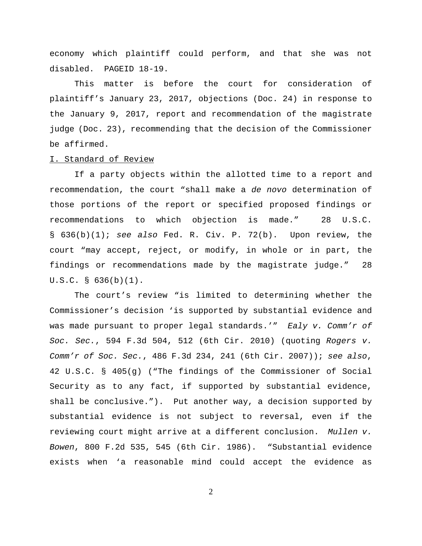economy which plaintiff could perform, and that she was not disabled. PAGEID 18-19.

This matter is before the court for consideration of plaintiff's January 23, 2017, objections (Doc. 24) in response to the January 9, 2017, report and recommendation of the magistrate judge (Doc. 23), recommending that the decision of the Commissioner be affirmed.

### I. Standard of Review

If a party objects within the allotted time to a report and recommendation, the court "shall make a de novo determination of those portions of the report or specified proposed findings or recommendations to which objection is made." 28 U.S.C. § 636(b)(1); see also Fed. R. Civ. P. 72(b). Upon review, the court "may accept, reject, or modify, in whole or in part, the findings or recommendations made by the magistrate judge." 28 U.S.C. § 636(b)(1).

The court's review "is limited to determining whether the Commissioner's decision 'is supported by substantial evidence and was made pursuant to proper legal standards.'" Ealy v. Comm'r of Soc. Sec., 594 F.3d 504, 512 (6th Cir. 2010) (quoting Rogers v. Comm'r of Soc. Sec.,  $486$  F.3d 234, 241 (6th Cir. 2007)); see also, 42 U.S.C. § 405(g) ("The findings of the Commissioner of Social Security as to any fact, if supported by substantial evidence, shall be conclusive."). Put another way, a decision supported by substantial evidence is not subject to reversal, even if the reviewing court might arrive at a different conclusion. Mullen v. Bowen, 800 F.2d 535, 545 (6th Cir. 1986). "Substantial evidence exists when 'a reasonable mind could accept the evidence as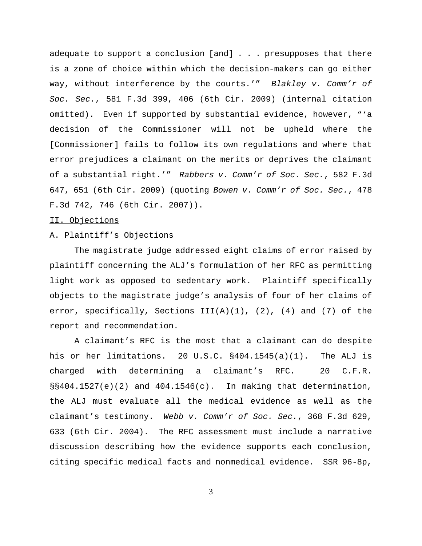adequate to support a conclusion [and] . . . presupposes that there is a zone of choice within which the decision-makers can go either way, without interference by the courts.'" Blakley v. Comm'r of Soc. Sec., 581 F.3d 399, 406 (6th Cir. 2009) (internal citation omitted). Even if supported by substantial evidence, however, "'a decision of the Commissioner will not be upheld where the [Commissioner] fails to follow its own regulations and where that error prejudices a claimant on the merits or deprives the claimant of a substantial right.'" Rabbers v. Comm'r of Soc. Sec., 582 F.3d 647, 651 (6th Cir. 2009) (quoting Bowen v. Comm'r of Soc. Sec., 478 F.3d 742, 746 (6th Cir. 2007)).

## II. Objections

## A. Plaintiff's Objections

The magistrate judge addressed eight claims of error raised by plaintiff concerning the ALJ's formulation of her RFC as permitting light work as opposed to sedentary work. Plaintiff specifically objects to the magistrate judge's analysis of four of her claims of error, specifically, Sections  $III(A)(1)$ ,  $(2)$ ,  $(4)$  and  $(7)$  of the report and recommendation.

A claimant's RFC is the most that a claimant can do despite his or her limitations. 20 U.S.C. §404.1545(a)(1). The ALJ is charged with determining a claimant's RFC. 20 C.F.R.  $\S$ §404.1527(e)(2) and 404.1546(c). In making that determination, the ALJ must evaluate all the medical evidence as well as the claimant's testimony. Webb v. Comm'r of Soc. Sec., 368 F.3d 629, 633 (6th Cir. 2004). The RFC assessment must include a narrative discussion describing how the evidence supports each conclusion, citing specific medical facts and nonmedical evidence. SSR 96-8p,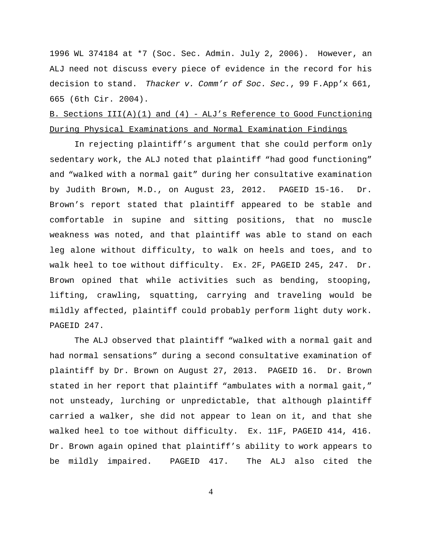1996 WL 374184 at \*7 (Soc. Sec. Admin. July 2, 2006). However, an ALJ need not discuss every piece of evidence in the record for his decision to stand. Thacker v. Comm'r of Soc. Sec., 99 F.App'x 661, 665 (6th Cir. 2004).

# B. Sections  $III(A)(1)$  and  $(4)$  - ALJ's Reference to Good Functioning During Physical Examinations and Normal Examination Findings

In rejecting plaintiff's argument that she could perform only sedentary work, the ALJ noted that plaintiff "had good functioning" and "walked with a normal gait" during her consultative examination by Judith Brown, M.D., on August 23, 2012. PAGEID 15-16. Dr. Brown's report stated that plaintiff appeared to be stable and comfortable in supine and sitting positions, that no muscle weakness was noted, and that plaintiff was able to stand on each leg alone without difficulty, to walk on heels and toes, and to walk heel to toe without difficulty. Ex. 2F, PAGEID 245, 247. Dr. Brown opined that while activities such as bending, stooping, lifting, crawling, squatting, carrying and traveling would be mildly affected, plaintiff could probably perform light duty work. PAGEID 247.

The ALJ observed that plaintiff "walked with a normal gait and had normal sensations" during a second consultative examination of plaintiff by Dr. Brown on August 27, 2013. PAGEID 16. Dr. Brown stated in her report that plaintiff "ambulates with a normal gait," not unsteady, lurching or unpredictable, that although plaintiff carried a walker, she did not appear to lean on it, and that she walked heel to toe without difficulty. Ex. 11F, PAGEID 414, 416. Dr. Brown again opined that plaintiff's ability to work appears to be mildly impaired. PAGEID 417. The ALJ also cited the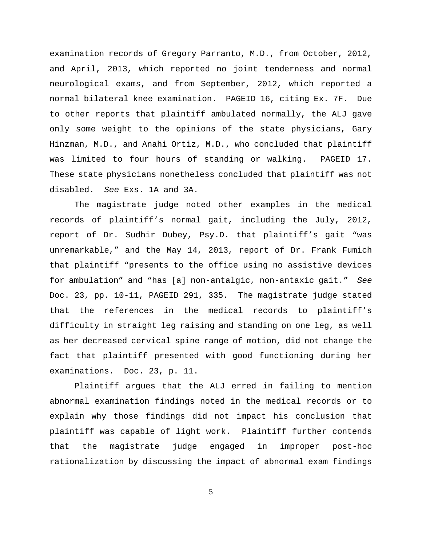examination records of Gregory Parranto, M.D., from October, 2012, and April, 2013, which reported no joint tenderness and normal neurological exams, and from September, 2012, which reported a normal bilateral knee examination. PAGEID 16, citing Ex. 7F. Due to other reports that plaintiff ambulated normally, the ALJ gave only some weight to the opinions of the state physicians, Gary Hinzman, M.D., and Anahi Ortiz, M.D., who concluded that plaintiff was limited to four hours of standing or walking. PAGEID 17. These state physicians nonetheless concluded that plaintiff was not disabled. See Exs. 1A and 3A.

The magistrate judge noted other examples in the medical records of plaintiff's normal gait, including the July, 2012, report of Dr. Sudhir Dubey, Psy.D. that plaintiff's gait "was unremarkable," and the May 14, 2013, report of Dr. Frank Fumich that plaintiff "presents to the office using no assistive devices for ambulation" and "has [a] non-antalgic, non-antaxic gait." See Doc. 23, pp. 10-11, PAGEID 291, 335. The magistrate judge stated that the references in the medical records to plaintiff's difficulty in straight leg raising and standing on one leg, as well as her decreased cervical spine range of motion, did not change the fact that plaintiff presented with good functioning during her examinations. Doc. 23, p. 11.

Plaintiff argues that the ALJ erred in failing to mention abnormal examination findings noted in the medical records or to explain why those findings did not impact his conclusion that plaintiff was capable of light work. Plaintiff further contends that the magistrate judge engaged in improper post-hoc rationalization by discussing the impact of abnormal exam findings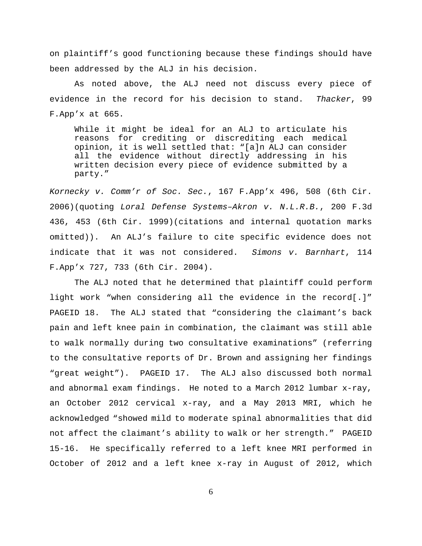on plaintiff's good functioning because these findings should have been addressed by the ALJ in his decision.

As noted above, the ALJ need not discuss every piece of evidence in the record for his decision to stand. Thacker, 99 F.App'x at 665.

While it might be ideal for an ALJ to articulate his reasons for crediting or discrediting each medical opinion, it is well settled that: "[a]n ALJ can consider all the evidence without directly addressing in his written decision every piece of evidence submitted by a party."

Kornecky v. Comm'r of Soc. Sec., 167 F.App'x 496, 508 (6th Cir. 2006)(quoting Loral Defense Systems–Akron v. N.L.R.B., 200 F.3d 436, 453 (6th Cir. 1999)(citations and internal quotation marks omitted)). An ALJ's failure to cite specific evidence does not indicate that it was not considered. Simons v. Barnhart, 114 F.App'x 727, 733 (6th Cir. 2004).

The ALJ noted that he determined that plaintiff could perform light work "when considering all the evidence in the record[.]" PAGEID 18. The ALJ stated that "considering the claimant's back pain and left knee pain in combination, the claimant was still able to walk normally during two consultative examinations" (referring to the consultative reports of Dr. Brown and assigning her findings "great weight"). PAGEID 17. The ALJ also discussed both normal and abnormal exam findings. He noted to a March 2012 lumbar x-ray, an October 2012 cervical x-ray, and a May 2013 MRI, which he acknowledged "showed mild to moderate spinal abnormalities that did not affect the claimant's ability to walk or her strength." PAGEID 15-16. He specifically referred to a left knee MRI performed in October of 2012 and a left knee x-ray in August of 2012, which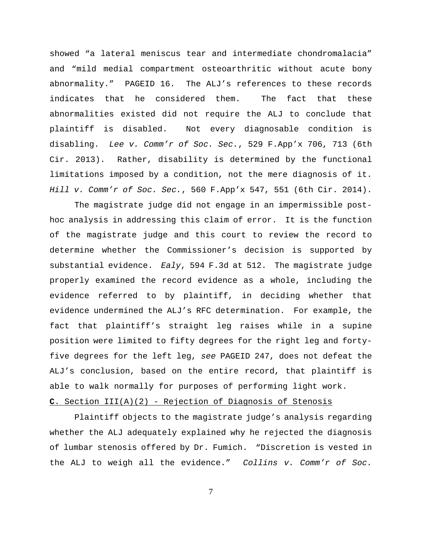showed "a lateral meniscus tear and intermediate chondromalacia" and "mild medial compartment osteoarthritic without acute bony abnormality." PAGEID 16. The ALJ's references to these records indicates that he considered them. The fact that these abnormalities existed did not require the ALJ to conclude that plaintiff is disabled. Not every diagnosable condition is disabling. Lee v. Comm'r of Soc. Sec., 529 F.App'x 706, 713 (6th Cir. 2013). Rather, disability is determined by the functional limitations imposed by a condition, not the mere diagnosis of it. Hill v. Comm'r of Soc. Sec., 560 F.App'x 547, 551 (6th Cir. 2014).

The magistrate judge did not engage in an impermissible posthoc analysis in addressing this claim of error. It is the function of the magistrate judge and this court to review the record to determine whether the Commissioner's decision is supported by substantial evidence. Ealy, 594 F.3d at 512. The magistrate judge properly examined the record evidence as a whole, including the evidence referred to by plaintiff, in deciding whether that evidence undermined the ALJ's RFC determination. For example, the fact that plaintiff's straight leg raises while in a supine position were limited to fifty degrees for the right leg and fortyfive degrees for the left leg, see PAGEID 247, does not defeat the ALJ's conclusion, based on the entire record, that plaintiff is able to walk normally for purposes of performing light work.

## **C**. Section III(A)(2) - Rejection of Diagnosis of Stenosis

Plaintiff objects to the magistrate judge's analysis regarding whether the ALJ adequately explained why he rejected the diagnosis of lumbar stenosis offered by Dr. Fumich. "Discretion is vested in the ALJ to weigh all the evidence." Collins v. Comm'r of Soc.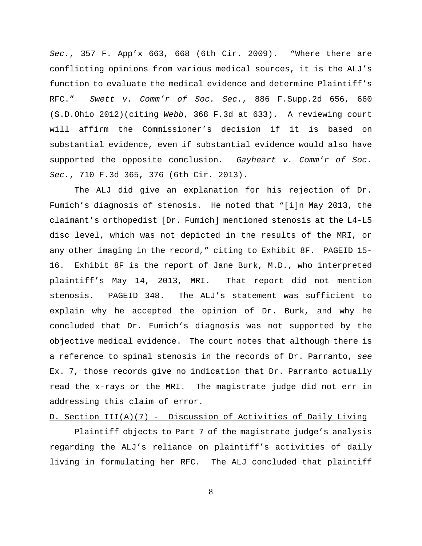Sec., 357 F. App'x 663, 668 (6th Cir. 2009). Where there are conflicting opinions from various medical sources, it is the ALJ's function to evaluate the medical evidence and determine Plaintiff's RFC." Swett v. Comm'r of Soc. Sec., 886 F.Supp.2d 656, 660 (S.D.Ohio 2012)(citing Webb, 368 F.3d at 633). A reviewing court will affirm the Commissioner's decision if it is based on substantial evidence, even if substantial evidence would also have supported the opposite conclusion. Gayheart  $v$ . Comm'r of Soc. Sec., 710 F.3d 365, 376 (6th Cir. 2013).

The ALJ did give an explanation for his rejection of Dr. Fumich's diagnosis of stenosis. He noted that "[i]n May 2013, the claimant's orthopedist [Dr. Fumich] mentioned stenosis at the L4-L5 disc level, which was not depicted in the results of the MRI, or any other imaging in the record," citing to Exhibit 8F. PAGEID 15- 16. Exhibit 8F is the report of Jane Burk, M.D., who interpreted plaintiff's May 14, 2013, MRI. That report did not mention stenosis. PAGEID 348. The ALJ's statement was sufficient to explain why he accepted the opinion of Dr. Burk, and why he concluded that Dr. Fumich's diagnosis was not supported by the objective medical evidence. The court notes that although there is a reference to spinal stenosis in the records of Dr. Parranto, see Ex. 7, those records give no indication that Dr. Parranto actually read the x-rays or the MRI. The magistrate judge did not err in addressing this claim of error.

## D. Section III(A)(7) - Discussion of Activities of Daily Living

Plaintiff objects to Part 7 of the magistrate judge's analysis regarding the ALJ's reliance on plaintiff's activities of daily living in formulating her RFC. The ALJ concluded that plaintiff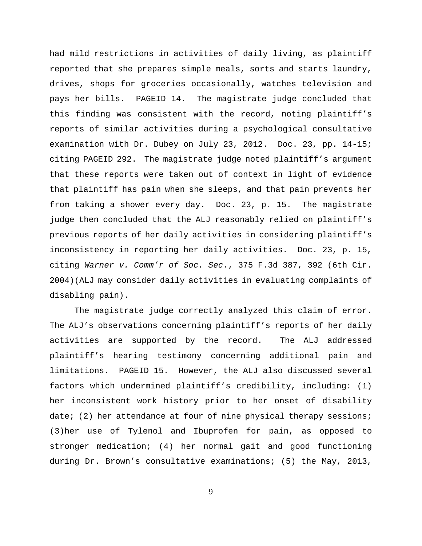had mild restrictions in activities of daily living, as plaintiff reported that she prepares simple meals, sorts and starts laundry, drives, shops for groceries occasionally, watches television and pays her bills. PAGEID 14. The magistrate judge concluded that this finding was consistent with the record, noting plaintiff's reports of similar activities during a psychological consultative examination with Dr. Dubey on July 23, 2012. Doc. 23, pp. 14-15; citing PAGEID 292. The magistrate judge noted plaintiff's argument that these reports were taken out of context in light of evidence that plaintiff has pain when she sleeps, and that pain prevents her from taking a shower every day. Doc. 23, p. 15. The magistrate judge then concluded that the ALJ reasonably relied on plaintiff's previous reports of her daily activities in considering plaintiff's inconsistency in reporting her daily activities. Doc. 23, p. 15, citing Warner v. Comm'r of Soc. Sec., 375 F.3d 387, 392 (6th Cir. 2004)(ALJ may consider daily activities in evaluating complaints of disabling pain).

The magistrate judge correctly analyzed this claim of error. The ALJ's observations concerning plaintiff's reports of her daily activities are supported by the record. The ALJ addressed plaintiff's hearing testimony concerning additional pain and limitations. PAGEID 15. However, the ALJ also discussed several factors which undermined plaintiff's credibility, including: (1) her inconsistent work history prior to her onset of disability date; (2) her attendance at four of nine physical therapy sessions; (3)her use of Tylenol and Ibuprofen for pain, as opposed to stronger medication; (4) her normal gait and good functioning during Dr. Brown's consultative examinations; (5) the May, 2013,